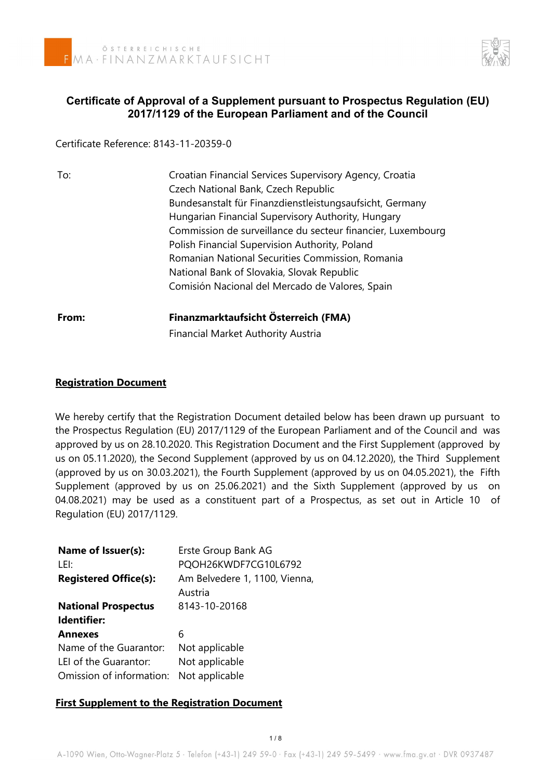

# **Certificate of Approval of a Supplement pursuant to Prospectus Regulation (EU) 2017/1129 of the European Parliament and of the Council**

Certificate Reference: 8143-11-20359-0

| To:   | Croatian Financial Services Supervisory Agency, Croatia     |  |  |
|-------|-------------------------------------------------------------|--|--|
|       | Czech National Bank, Czech Republic                         |  |  |
|       | Bundesanstalt für Finanzdienstleistungsaufsicht, Germany    |  |  |
|       | Hungarian Financial Supervisory Authority, Hungary          |  |  |
|       | Commission de surveillance du secteur financier, Luxembourg |  |  |
|       | Polish Financial Supervision Authority, Poland              |  |  |
|       | Romanian National Securities Commission, Romania            |  |  |
|       | National Bank of Slovakia, Slovak Republic                  |  |  |
|       | Comisión Nacional del Mercado de Valores, Spain             |  |  |
| From: | Finanzmarktaufsicht Österreich (FMA)                        |  |  |
|       | <b>Financial Market Authority Austria</b>                   |  |  |

# **Registration Document**

We hereby certify that the Registration Document detailed below has been drawn up pursuant to the Prospectus Regulation (EU) 2017/1129 of the European Parliament and of the Council and was approved by us on 28.10.2020. This Registration Document and the First Supplement (approved by us on 05.11.2020), the Second Supplement (approved by us on 04.12.2020), the Third Supplement (approved by us on 30.03.2021), the Fourth Supplement (approved by us on 04.05.2021), the Fifth Supplement (approved by us on 25.06.2021) and the Sixth Supplement (approved by us on 04.08.2021) may be used as a constituent part of a Prospectus, as set out in Article 10 of Regulation (EU) 2017/1129.

| Name of Issuer(s):           | Erste Group Bank AG           |
|------------------------------|-------------------------------|
| LEI:                         | PQOH26KWDF7CG10L6792          |
| <b>Registered Office(s):</b> | Am Belvedere 1, 1100, Vienna, |
|                              | Austria                       |
| <b>National Prospectus</b>   | 8143-10-20168                 |
| Identifier:                  |                               |
| <b>Annexes</b>               | 6                             |
| Name of the Guarantor:       | Not applicable                |
| LEI of the Guarantor:        | Not applicable                |
| Omission of information:     | Not applicable                |

# **First Supplement to the Registration Document**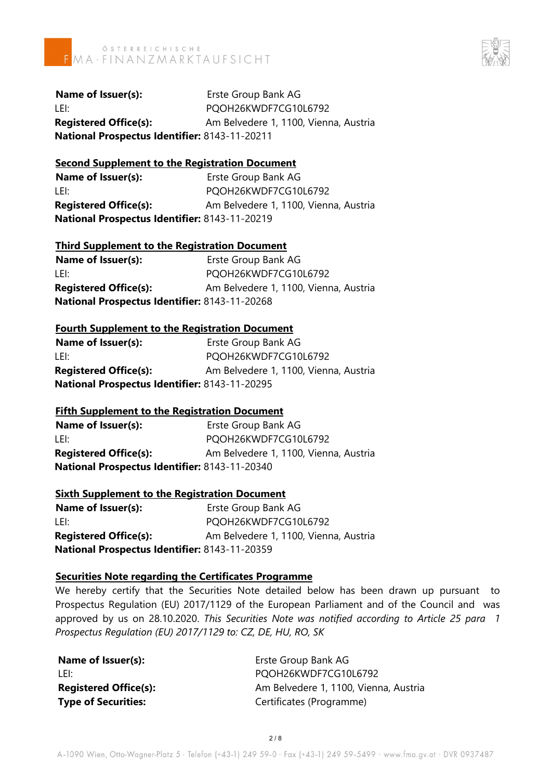



**Name of Issuer(s):** Erste Group Bank AG LEI: PQOH26KWDF7CG10L6792 **Registered Office(s):** Am Belvedere 1, 1100, Vienna, Austria **National Prospectus Identifier:** 8143-11-20211

## **Second Supplement to the Registration Document**

**Name of Issuer(s):** Erste Group Bank AG LEI: PQOH26KWDF7CG10L6792 **Registered Office(s):** Am Belvedere 1, 1100, Vienna, Austria **National Prospectus Identifier:** 8143-11-20219

## **Third Supplement to the Registration Document**

**Name of Issuer(s):** Erste Group Bank AG LEI: PQOH26KWDF7CG10L6792 **Registered Office(s):** Am Belvedere 1, 1100, Vienna, Austria **National Prospectus Identifier:** 8143-11-20268

#### **Fourth Supplement to the Registration Document**

| Name of Issuer(s):                            | Erste Group Bank AG                   |  |
|-----------------------------------------------|---------------------------------------|--|
| LEI:                                          | PQOH26KWDF7CG10L6792                  |  |
| <b>Registered Office(s):</b>                  | Am Belvedere 1, 1100, Vienna, Austria |  |
| National Prospectus Identifier: 8143-11-20295 |                                       |  |

## **Fifth Supplement to the Registration Document**

**Name of Issuer(s):** Erste Group Bank AG LEI: PQOH26KWDF7CG10L6792 **Registered Office(s):** Am Belvedere 1, 1100, Vienna, Austria **National Prospectus Identifier:** 8143-11-20340

## **Sixth Supplement to the Registration Document**

**Name of Issuer(s):** Erste Group Bank AG LEI: PQOH26KWDF7CG10L6792 **Registered Office(s):** Am Belvedere 1, 1100, Vienna, Austria **National Prospectus Identifier:** 8143-11-20359

#### **Securities Note regarding the Certificates Programme**

We hereby certify that the Securities Note detailed below has been drawn up pursuant to Prospectus Regulation (EU) 2017/1129 of the European Parliament and of the Council and was approved by us on 28.10.2020. *This Securities Note was notified according to Article 25 para 1 Prospectus Regulation (EU) 2017/1129 to: CZ, DE, HU, RO, SK*

| Name of Issuer(s):           | Erste Group Bank AG                   |
|------------------------------|---------------------------------------|
| l Fli                        | PQOH26KWDF7CG10L6792                  |
| <b>Registered Office(s):</b> | Am Belvedere 1, 1100, Vienna, Austria |
| <b>Type of Securities:</b>   | Certificates (Programme)              |
|                              |                                       |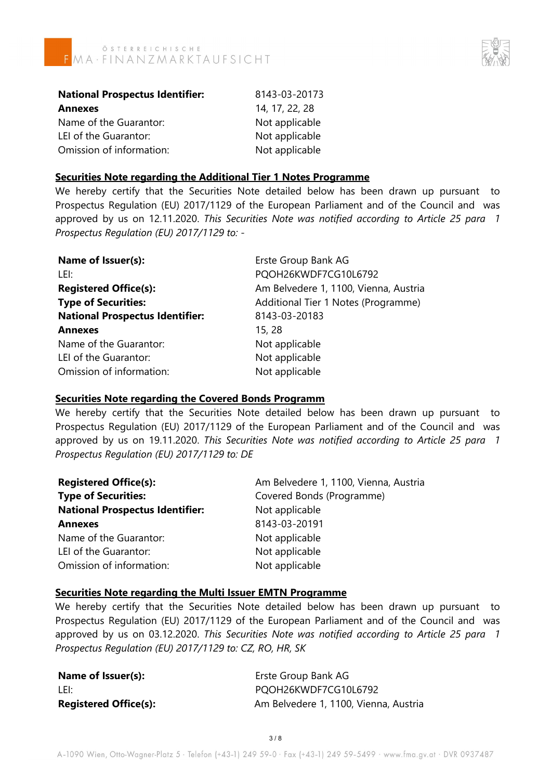



| <b>National Prospectus Identifier:</b> | 8143-03-20173  |
|----------------------------------------|----------------|
| <b>Annexes</b>                         | 14, 17, 22, 28 |
| Name of the Guarantor:                 | Not applicable |
| LEI of the Guarantor:                  | Not applicable |
| Omission of information:               | Not applicable |

#### **Securities Note regarding the Additional Tier 1 Notes Programme**

We hereby certify that the Securities Note detailed below has been drawn up pursuant to Prospectus Regulation (EU) 2017/1129 of the European Parliament and of the Council and was approved by us on 12.11.2020. *This Securities Note was notified according to Article 25 para 1 Prospectus Regulation (EU) 2017/1129 to: -*

| Name of Issuer(s):                     | Erste Group Bank AG                   |
|----------------------------------------|---------------------------------------|
| LEI:                                   | PQOH26KWDF7CG10L6792                  |
| <b>Registered Office(s):</b>           | Am Belvedere 1, 1100, Vienna, Austria |
| <b>Type of Securities:</b>             | Additional Tier 1 Notes (Programme)   |
| <b>National Prospectus Identifier:</b> | 8143-03-20183                         |
| <b>Annexes</b>                         | 15, 28                                |
| Name of the Guarantor:                 | Not applicable                        |
| LEI of the Guarantor:                  | Not applicable                        |
| Omission of information:               | Not applicable                        |
|                                        |                                       |

#### **Securities Note regarding the Covered Bonds Programm**

We hereby certify that the Securities Note detailed below has been drawn up pursuant to Prospectus Regulation (EU) 2017/1129 of the European Parliament and of the Council and was approved by us on 19.11.2020. *This Securities Note was notified according to Article 25 para 1 Prospectus Regulation (EU) 2017/1129 to: DE*

| <b>Registered Office(s):</b>           | Am Belvedere 1, 1100, Vienna, Austria |
|----------------------------------------|---------------------------------------|
| <b>Type of Securities:</b>             | Covered Bonds (Programme)             |
| <b>National Prospectus Identifier:</b> | Not applicable                        |
| <b>Annexes</b>                         | 8143-03-20191                         |
| Name of the Guarantor:                 | Not applicable                        |
| LEI of the Guarantor:                  | Not applicable                        |
| Omission of information:               | Not applicable                        |

## **Securities Note regarding the Multi Issuer EMTN Programme**

We hereby certify that the Securities Note detailed below has been drawn up pursuant to Prospectus Regulation (EU) 2017/1129 of the European Parliament and of the Council and was approved by us on 03.12.2020. *This Securities Note was notified according to Article 25 para 1 Prospectus Regulation (EU) 2017/1129 to: CZ, RO, HR, SK*

| Name of Issuer(s):           |
|------------------------------|
| LEI:                         |
| <b>Registered Office(s):</b> |

**Erste Group Bank AG** POOH26KWDF7CG10L6792 Am Belvedere 1, 1100, Vienna, Austria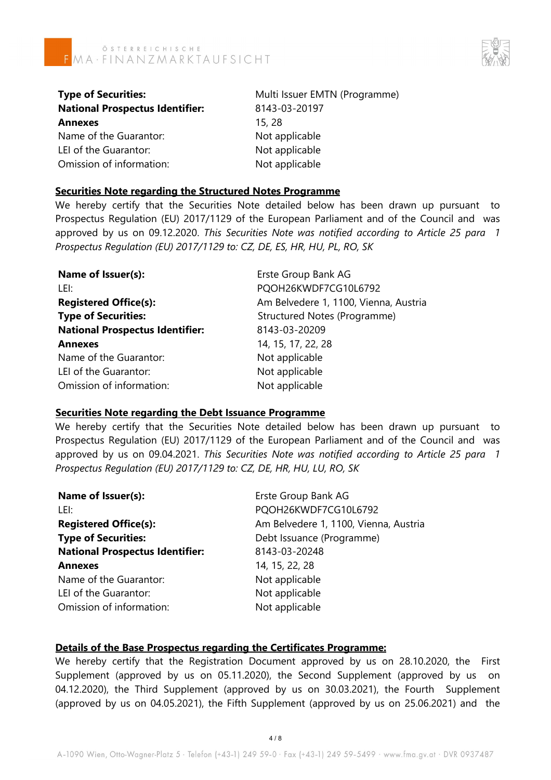

| <b>Type of Securities:</b>             | Multi Issuer EMTN (Programme) |  |
|----------------------------------------|-------------------------------|--|
| <b>National Prospectus Identifier:</b> | 8143-03-20197                 |  |
| Annexes                                | 15, 28                        |  |
| Name of the Guarantor:                 | Not applicable                |  |
| LEI of the Guarantor:                  | Not applicable                |  |
| Omission of information:               | Not applicable                |  |

#### **Securities Note regarding the Structured Notes Programme**

We hereby certify that the Securities Note detailed below has been drawn up pursuant to Prospectus Regulation (EU) 2017/1129 of the European Parliament and of the Council and was approved by us on 09.12.2020. *This Securities Note was notified according to Article 25 para 1 Prospectus Regulation (EU) 2017/1129 to: CZ, DE, ES, HR, HU, PL, RO, SK*

| Name of Issuer(s):                     | Erste Group Bank AG                   |
|----------------------------------------|---------------------------------------|
| LEI:                                   | PQOH26KWDF7CG10L6792                  |
| <b>Registered Office(s):</b>           | Am Belvedere 1, 1100, Vienna, Austria |
| <b>Type of Securities:</b>             | Structured Notes (Programme)          |
| <b>National Prospectus Identifier:</b> | 8143-03-20209                         |
| <b>Annexes</b>                         | 14, 15, 17, 22, 28                    |
| Name of the Guarantor:                 | Not applicable                        |
| LEI of the Guarantor:                  | Not applicable                        |
| Omission of information:               | Not applicable                        |

#### **Securities Note regarding the Debt Issuance Programme**

We hereby certify that the Securities Note detailed below has been drawn up pursuant to Prospectus Regulation (EU) 2017/1129 of the European Parliament and of the Council and was approved by us on 09.04.2021. *This Securities Note was notified according to Article 25 para 1 Prospectus Regulation (EU) 2017/1129 to: CZ, DE, HR, HU, LU, RO, SK*

| Name of Issuer(s):                     | Erste Group Bank AG                   |
|----------------------------------------|---------------------------------------|
| LEI:                                   | PQOH26KWDF7CG10L6792                  |
| <b>Registered Office(s):</b>           | Am Belvedere 1, 1100, Vienna, Austria |
| <b>Type of Securities:</b>             | Debt Issuance (Programme)             |
| <b>National Prospectus Identifier:</b> | 8143-03-20248                         |
| <b>Annexes</b>                         | 14, 15, 22, 28                        |
| Name of the Guarantor:                 | Not applicable                        |
| LEI of the Guarantor:                  | Not applicable                        |
| Omission of information:               | Not applicable                        |
|                                        |                                       |

## **Details of the Base Prospectus regarding the Certificates Programme:**

We hereby certify that the Registration Document approved by us on 28.10.2020, the First Supplement (approved by us on 05.11.2020), the Second Supplement (approved by us on 04.12.2020), the Third Supplement (approved by us on 30.03.2021), the Fourth Supplement (approved by us on 04.05.2021), the Fifth Supplement (approved by us on 25.06.2021) and the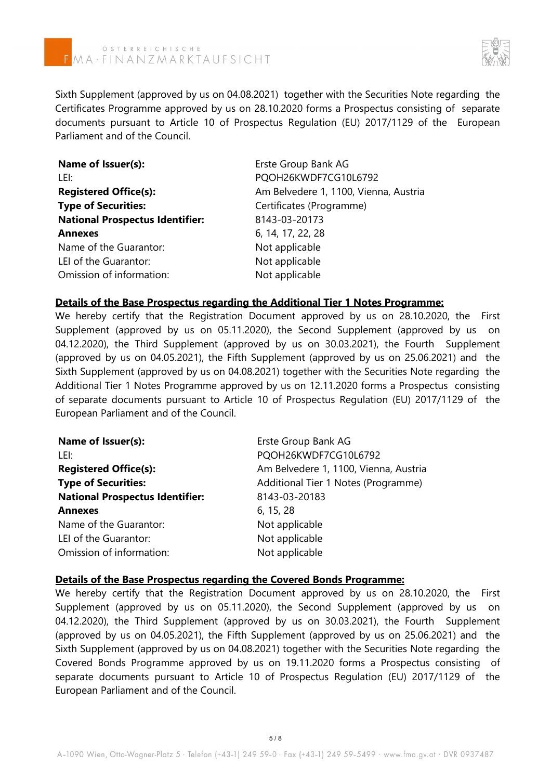

Sixth Supplement (approved by us on 04.08.2021) together with the Securities Note regarding the Certificates Programme approved by us on 28.10.2020 forms a Prospectus consisting of separate documents pursuant to Article 10 of Prospectus Regulation (EU) 2017/1129 of the European Parliament and of the Council.

| Name of Issuer(s):                     | Erste Group Bank AG                   |
|----------------------------------------|---------------------------------------|
| LEI:                                   | PQOH26KWDF7CG10L6792                  |
| <b>Registered Office(s):</b>           | Am Belvedere 1, 1100, Vienna, Austria |
| <b>Type of Securities:</b>             | Certificates (Programme)              |
| <b>National Prospectus Identifier:</b> | 8143-03-20173                         |
| <b>Annexes</b>                         | 6, 14, 17, 22, 28                     |
| Name of the Guarantor:                 | Not applicable                        |
| LEI of the Guarantor:                  | Not applicable                        |
| Omission of information:               | Not applicable                        |

#### **Details of the Base Prospectus regarding the Additional Tier 1 Notes Programme:**

We hereby certify that the Registration Document approved by us on 28.10.2020, the First Supplement (approved by us on 05.11.2020), the Second Supplement (approved by us on 04.12.2020), the Third Supplement (approved by us on 30.03.2021), the Fourth Supplement (approved by us on 04.05.2021), the Fifth Supplement (approved by us on 25.06.2021) and the Sixth Supplement (approved by us on 04.08.2021) together with the Securities Note regarding the Additional Tier 1 Notes Programme approved by us on 12.11.2020 forms a Prospectus consisting of separate documents pursuant to Article 10 of Prospectus Regulation (EU) 2017/1129 of the European Parliament and of the Council.

| Name of Issuer(s):                     | Erste Group Bank AG                   |
|----------------------------------------|---------------------------------------|
| LEI:                                   | PQOH26KWDF7CG10L6792                  |
| <b>Registered Office(s):</b>           | Am Belvedere 1, 1100, Vienna, Austria |
| <b>Type of Securities:</b>             | Additional Tier 1 Notes (Programme)   |
| <b>National Prospectus Identifier:</b> | 8143-03-20183                         |
| <b>Annexes</b>                         | 6, 15, 28                             |
| Name of the Guarantor:                 | Not applicable                        |
| LEI of the Guarantor:                  | Not applicable                        |
| Omission of information:               | Not applicable                        |

# **Details of the Base Prospectus regarding the Covered Bonds Programme:**

We hereby certify that the Registration Document approved by us on 28.10.2020, the First Supplement (approved by us on 05.11.2020), the Second Supplement (approved by us on 04.12.2020), the Third Supplement (approved by us on 30.03.2021), the Fourth Supplement (approved by us on 04.05.2021), the Fifth Supplement (approved by us on 25.06.2021) and the Sixth Supplement (approved by us on 04.08.2021) together with the Securities Note regarding the Covered Bonds Programme approved by us on 19.11.2020 forms a Prospectus consisting of separate documents pursuant to Article 10 of Prospectus Regulation (EU) 2017/1129 of the European Parliament and of the Council.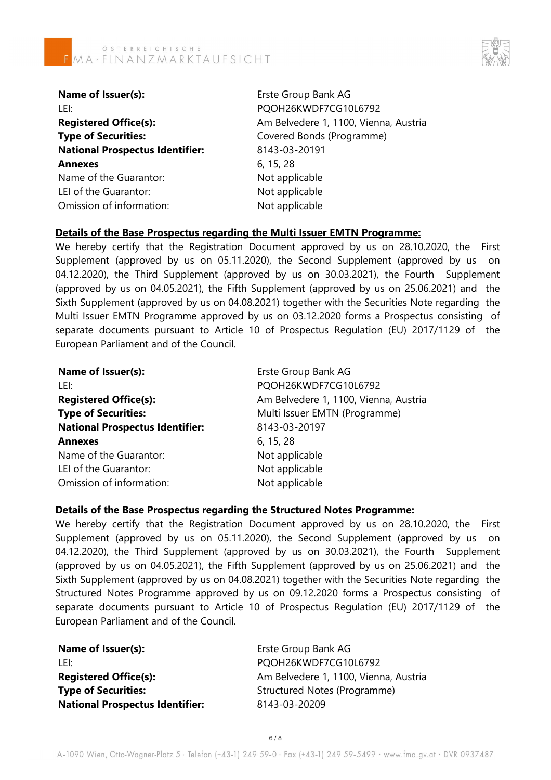

| Name of Issuer(s):                     |  |  |
|----------------------------------------|--|--|
| LEI:                                   |  |  |
| <b>Registered Office(s):</b>           |  |  |
| <b>Type of Securities:</b>             |  |  |
| <b>National Prospectus Identifier:</b> |  |  |
| <b>Annexes</b>                         |  |  |
| Name of the Guarantor:                 |  |  |
| LEI of the Guarantor:                  |  |  |
| Omission of information:               |  |  |

**Erste Group Bank AG** POOH26KWDF7CG10L6792 Am Belvedere 1, 1100, Vienna, Austria **Covered Bonds (Programme) National Prospectus Identifier:** 8143-03-20191 **Annexes** 6, 15, 28 Not applicable Not applicable Not applicable

# **Details of the Base Prospectus regarding the Multi Issuer EMTN Programme:**

We hereby certify that the Registration Document approved by us on 28.10.2020, the First Supplement (approved by us on 05.11.2020), the Second Supplement (approved by us on 04.12.2020), the Third Supplement (approved by us on 30.03.2021), the Fourth Supplement (approved by us on 04.05.2021), the Fifth Supplement (approved by us on 25.06.2021) and the Sixth Supplement (approved by us on 04.08.2021) together with the Securities Note regarding the Multi Issuer EMTN Programme approved by us on 03.12.2020 forms a Prospectus consisting of separate documents pursuant to Article 10 of Prospectus Regulation (EU) 2017/1129 of the European Parliament and of the Council.

| Name of Issuer(s):                     | Erste Group Bank AG                   |
|----------------------------------------|---------------------------------------|
| LEI:                                   | PQOH26KWDF7CG10L6792                  |
| <b>Registered Office(s):</b>           | Am Belvedere 1, 1100, Vienna, Austria |
| <b>Type of Securities:</b>             | Multi Issuer EMTN (Programme)         |
| <b>National Prospectus Identifier:</b> | 8143-03-20197                         |
| <b>Annexes</b>                         | 6, 15, 28                             |
| Name of the Guarantor:                 | Not applicable                        |
| LEI of the Guarantor:                  | Not applicable                        |
| Omission of information:               | Not applicable                        |

## **Details of the Base Prospectus regarding the Structured Notes Programme:**

We hereby certify that the Registration Document approved by us on 28.10.2020, the First Supplement (approved by us on 05.11.2020), the Second Supplement (approved by us on 04.12.2020), the Third Supplement (approved by us on 30.03.2021), the Fourth Supplement (approved by us on 04.05.2021), the Fifth Supplement (approved by us on 25.06.2021) and the Sixth Supplement (approved by us on 04.08.2021) together with the Securities Note regarding the Structured Notes Programme approved by us on 09.12.2020 forms a Prospectus consisting of separate documents pursuant to Article 10 of Prospectus Regulation (EU) 2017/1129 of the European Parliament and of the Council.

| Name of Issuer(s):                     | Erste Group Bank AG                   |
|----------------------------------------|---------------------------------------|
| -LEI:                                  | PQOH26KWDF7CG10L6792                  |
| <b>Registered Office(s):</b>           | Am Belvedere 1, 1100, Vienna, Austria |
| <b>Type of Securities:</b>             | Structured Notes (Programme)          |
| <b>National Prospectus Identifier:</b> | 8143-03-20209                         |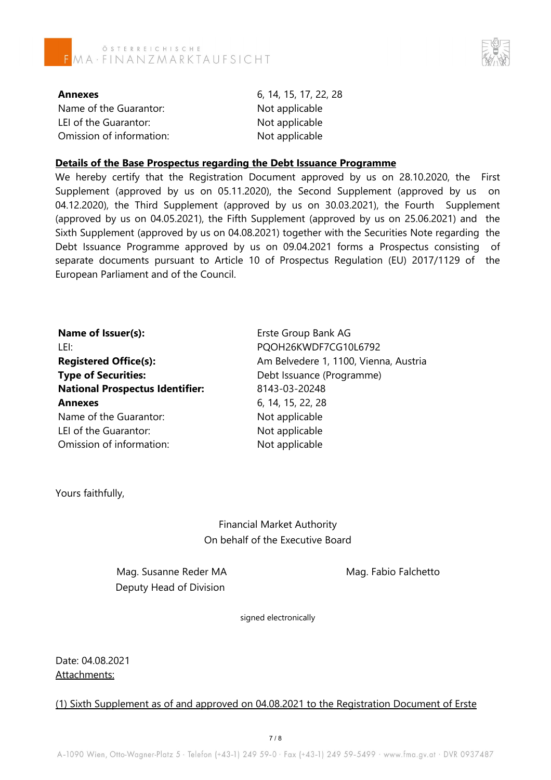



**Annexes** 6, 14, 15, 17, 22, 28 Name of the Guarantor: Not applicable LEI of the Guarantor: Not applicable Omission of information: Not applicable

#### **Details of the Base Prospectus regarding the Debt Issuance Programme**

We hereby certify that the Registration Document approved by us on 28.10.2020, the First Supplement (approved by us on 05.11.2020), the Second Supplement (approved by us on 04.12.2020), the Third Supplement (approved by us on 30.03.2021), the Fourth Supplement (approved by us on 04.05.2021), the Fifth Supplement (approved by us on 25.06.2021) and the Sixth Supplement (approved by us on 04.08.2021) together with the Securities Note regarding the Debt Issuance Programme approved by us on 09.04.2021 forms a Prospectus consisting of separate documents pursuant to Article 10 of Prospectus Regulation (EU) 2017/1129 of the European Parliament and of the Council.

| Name of Issuer(s):                     | Erste Group Bank AG                   |  |
|----------------------------------------|---------------------------------------|--|
| LEI:                                   | PQOH26KWDF7CG10L6792                  |  |
| <b>Registered Office(s):</b>           | Am Belvedere 1, 1100, Vienna, Austria |  |
| <b>Type of Securities:</b>             | Debt Issuance (Programme)             |  |
| <b>National Prospectus Identifier:</b> | 8143-03-20248                         |  |
| <b>Annexes</b>                         | 6, 14, 15, 22, 28                     |  |
| Name of the Guarantor:                 | Not applicable                        |  |
| LEI of the Guarantor:                  | Not applicable                        |  |
| Omission of information:               | Not applicable                        |  |

Yours faithfully,

Financial Market Authority On behalf of the Executive Board

Mag. Susanne Reder MA Mag. Fabio Falchetto Deputy Head of Division

signed electronically

Date: 04.08.2021 Attachments:

## (1) Sixth Supplement as of and approved on 04.08.2021 to the Registration Document of Erste